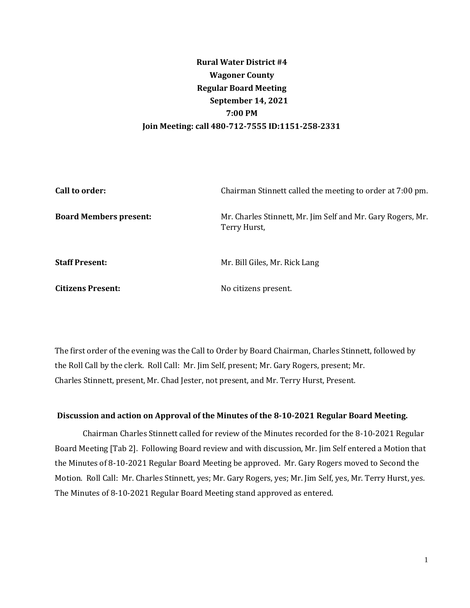# **Rural Water District #4 Wagoner County Regular Board Meeting September 14, 2021 7:00 PM Join Meeting: call 480-712-7555 ID:1151-258-2331**

| Call to order:                | Chairman Stinnett called the meeting to order at 7:00 pm.                   |
|-------------------------------|-----------------------------------------------------------------------------|
| <b>Board Members present:</b> | Mr. Charles Stinnett, Mr. Jim Self and Mr. Gary Rogers, Mr.<br>Terry Hurst, |
| <b>Staff Present:</b>         | Mr. Bill Giles, Mr. Rick Lang                                               |
| <b>Citizens Present:</b>      | No citizens present.                                                        |

The first order of the evening was the Call to Order by Board Chairman, Charles Stinnett, followed by the Roll Call by the clerk. Roll Call: Mr. Jim Self, present; Mr. Gary Rogers, present; Mr. Charles Stinnett, present, Mr. Chad Jester, not present, and Mr. Terry Hurst, Present.

#### **Discussion and action on Approval of the Minutes of the 8-10-2021 Regular Board Meeting.**

Chairman Charles Stinnett called for review of the Minutes recorded for the 8-10-2021 Regular Board Meeting [Tab 2]. Following Board review and with discussion, Mr. Jim Self entered a Motion that the Minutes of 8-10-2021 Regular Board Meeting be approved. Mr. Gary Rogers moved to Second the Motion. Roll Call: Mr. Charles Stinnett, yes; Mr. Gary Rogers, yes; Mr. Jim Self, yes, Mr. Terry Hurst, yes. The Minutes of 8-10-2021 Regular Board Meeting stand approved as entered.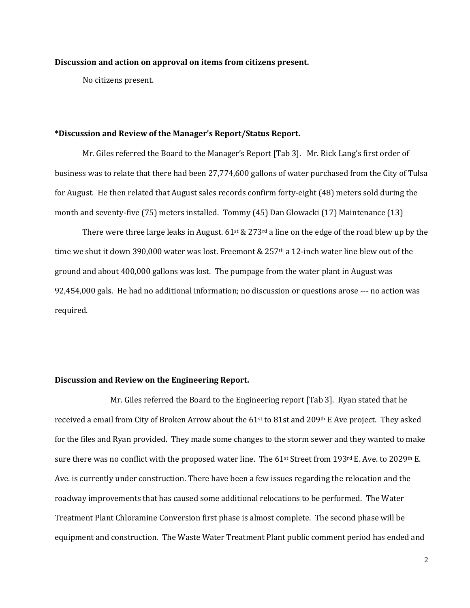#### **Discussion and action on approval on items from citizens present.**

No citizens present.

#### **\*Discussion and Review of the Manager's Report/Status Report.**

Mr. Giles referred the Board to the Manager's Report [Tab 3]. Mr. Rick Lang's first order of business was to relate that there had been 27,774,600 gallons of water purchased from the City of Tulsa for August. He then related that August sales records confirm forty-eight (48) meters sold during the month and seventy-five (75) meters installed. Tommy (45) Dan Glowacki (17) Maintenance (13)

There were three large leaks in August.  $61$ <sup>st</sup> & 273<sup>rd</sup> a line on the edge of the road blew up by the time we shut it down 390,000 water was lost. Freemont & 257<sup>th</sup> a 12-inch water line blew out of the ground and about 400,000 gallons was lost. The pumpage from the water plant in August was 92,454,000 gals. He had no additional information; no discussion or questions arose --- no action was required.

#### **Discussion and Review on the Engineering Report.**

Mr. Giles referred the Board to the Engineering report [Tab 3]. Ryan stated that he received a email from City of Broken Arrow about the  $61$ <sup>st</sup> to 81st and 209<sup>th</sup> E Ave project. They asked for the files and Ryan provided. They made some changes to the storm sewer and they wanted to make sure there was no conflict with the proposed water line. The 61st Street from 193rd E. Ave. to 2029th E. Ave. is currently under construction. There have been a few issues regarding the relocation and the roadway improvements that has caused some additional relocations to be performed. The Water Treatment Plant Chloramine Conversion first phase is almost complete. The second phase will be equipment and construction. The Waste Water Treatment Plant public comment period has ended and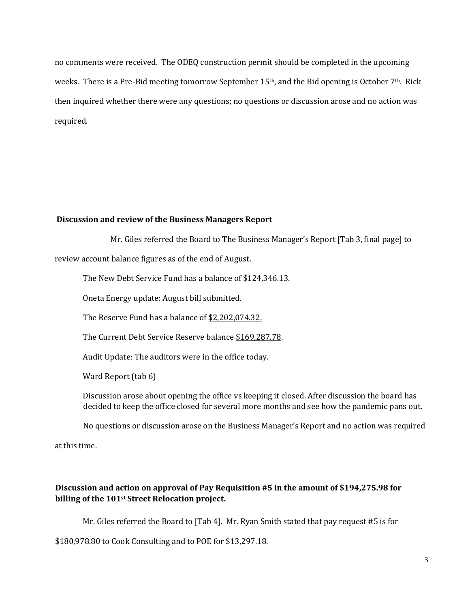no comments were received. The ODEQ construction permit should be completed in the upcoming weeks. There is a Pre-Bid meeting tomorrow September 15<sup>th</sup>, and the Bid opening is October 7<sup>th</sup>. Rick then inquired whether there were any questions; no questions or discussion arose and no action was required.

## **Discussion and review of the Business Managers Report**

Mr. Giles referred the Board to The Business Manager's Report [Tab 3, final page] to

review account balance figures as of the end of August.

The New Debt Service Fund has a balance of \$124,346.13.

Oneta Energy update: August bill submitted.

The Reserve Fund has a balance of \$2,202,074.32.

The Current Debt Service Reserve balance \$169,287.78.

Audit Update: The auditors were in the office today.

Ward Report (tab 6)

Discussion arose about opening the office vs keeping it closed. After discussion the board has decided to keep the office closed for several more months and see how the pandemic pans out.

No questions or discussion arose on the Business Manager's Report and no action was required

at this time.

## **Discussion and action on approval of Pay Requisition #5 in the amount of \$194,275.98 for billing of the 101st Street Relocation project.**

Mr. Giles referred the Board to [Tab 4]. Mr. Ryan Smith stated that pay request #5 is for

\$180,978.80 to Cook Consulting and to POE for \$13,297.18.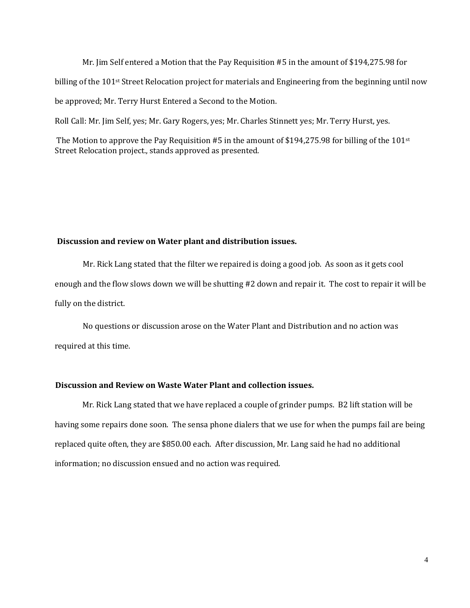Mr. Jim Self entered a Motion that the Pay Requisition #5 in the amount of \$194,275.98 for billing of the  $101$ <sup>st</sup> Street Relocation project for materials and Engineering from the beginning until now be approved; Mr. Terry Hurst Entered a Second to the Motion.

Roll Call: Mr. Jim Self, yes; Mr. Gary Rogers, yes; Mr. Charles Stinnett yes; Mr. Terry Hurst, yes.

The Motion to approve the Pay Requisition #5 in the amount of \$194,275.98 for billing of the 101st Street Relocation project., stands approved as presented.

#### **Discussion and review on Water plant and distribution issues.**

Mr. Rick Lang stated that the filter we repaired is doing a good job. As soon as it gets cool enough and the flow slows down we will be shutting #2 down and repair it. The cost to repair it will be fully on the district.

No questions or discussion arose on the Water Plant and Distribution and no action was required at this time.

## **Discussion and Review on Waste Water Plant and collection issues.**

Mr. Rick Lang stated that we have replaced a couple of grinder pumps. B2 lift station will be having some repairs done soon. The sensa phone dialers that we use for when the pumps fail are being replaced quite often, they are \$850.00 each. After discussion, Mr. Lang said he had no additional information; no discussion ensued and no action was required.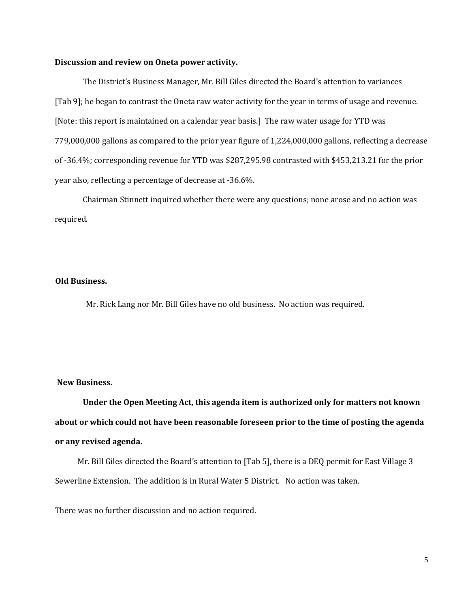#### **Discussion and review on Oneta power activity.**

The District's Business Manager, Mr. Bill Giles directed the Board's attention to variances [Tab 9]; he began to contrast the Oneta raw water activity for the year in terms of usage and revenue. [Note: this report is maintained on a calendar year basis.] The raw water usage for YTD was 779,000,000 gallons as compared to the prior year figure of 1,224,000,000 gallons, reflecting a decrease of -36.4%; corresponding revenue for YTD was \$287,295.98 contrasted with \$453,213.21 for the prior year also, reflecting a percentage of decrease at -36.6%.

Chairman Stinnett inquired whether there were any questions; none arose and no action was required.

#### **Old Business.**

Mr. Rick Lang nor Mr. Bill Giles have no old business. No action was required.

#### **New Business.**

**Under the Open Meeting Act, this agenda item is authorized only for matters not known about or which could not have been reasonable foreseen prior to the time of posting the agenda or any revised agenda.** 

 Mr. Bill Giles directed the Board's attention to [Tab 5], there is a DEQ permit for East Village 3 Sewerline Extension. The addition is in Rural Water 5 District. No action was taken.

There was no further discussion and no action required.